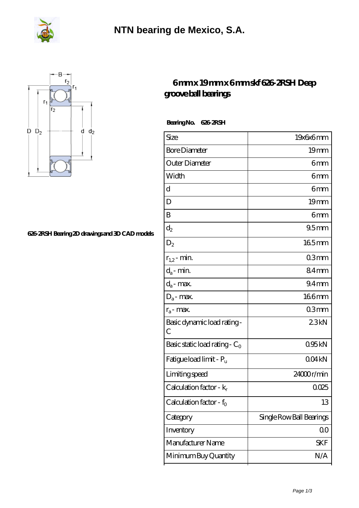



## **[626-2RSH Bearing 2D drawings and 3D CAD models](https://m.fergusonheatncool.com/pic-64966477.html)**

## **[6 mm x 19 mm x 6 mm skf 626-2RSH Deep](https://m.fergusonheatncool.com/af-64966477-skf-626-2rsh-deep-groove-ball-bearings.html) [groove ball bearings](https://m.fergusonheatncool.com/af-64966477-skf-626-2rsh-deep-groove-ball-bearings.html)**

 **Bearing No. 626-2RSH**

| Size                                | 19x6x6mm                 |
|-------------------------------------|--------------------------|
| <b>Bore Diameter</b>                | 19mm                     |
| Outer Diameter                      | 6mm                      |
| Width                               | 6mm                      |
| d                                   | 6mm                      |
| D                                   | 19mm                     |
| B                                   | 6mm                      |
| $\mathrm{d}_{2}$                    | 95mm                     |
| $D_2$                               | $165$ mm                 |
| $r_{1,2}$ - min.                    | 03mm                     |
| $d_a$ - min.                        | 84mm                     |
| $d_a$ - max.                        | 94 <sub>mm</sub>         |
| $D_a$ - max.                        | 166mm                    |
| $r_a$ - max.                        | 03mm                     |
| Basic dynamic load rating-<br>C     | 23kN                     |
| Basic static load rating - $C_0$    | 095kN                    |
| Fatigue load limit - P <sub>u</sub> | 004kN                    |
| Limiting speed                      | 24000r/min               |
| Calculation factor - $k_r$          | 0025                     |
| Calculation factor - f <sub>o</sub> | 13                       |
| Category                            | Single Row Ball Bearings |
| Inventory                           | 00                       |
| Manufacturer Name                   | SKF                      |
| Minimum Buy Quantity                | N/A                      |
|                                     |                          |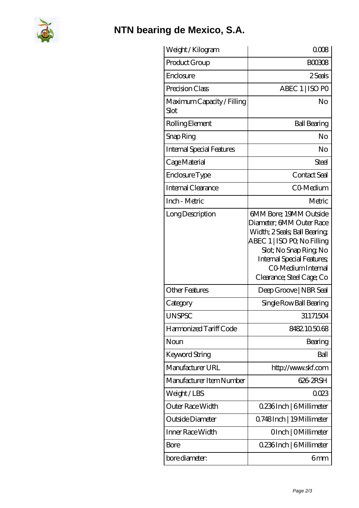

## **[NTN bearing de Mexico, S.A.](https://m.fergusonheatncool.com)**

| Weight/Kilogram                    | 0008                                                                                                                                                                                                                              |
|------------------------------------|-----------------------------------------------------------------------------------------------------------------------------------------------------------------------------------------------------------------------------------|
| Product Group                      | <b>BOO308</b>                                                                                                                                                                                                                     |
| Enclosure                          | 2 Seals                                                                                                                                                                                                                           |
| Precision Class                    | ABEC 1   ISO PO                                                                                                                                                                                                                   |
| Maximum Capacity / Filling<br>Slot | No                                                                                                                                                                                                                                |
| Rolling Element                    | <b>Ball Bearing</b>                                                                                                                                                                                                               |
| Snap Ring                          | No                                                                                                                                                                                                                                |
| <b>Internal Special Features</b>   | No                                                                                                                                                                                                                                |
| Cage Material                      | Steel                                                                                                                                                                                                                             |
| Enclosure Type                     | Contact Seal                                                                                                                                                                                                                      |
| Internal Clearance                 | CO-Medium                                                                                                                                                                                                                         |
| Inch - Metric                      | Metric                                                                                                                                                                                                                            |
| Long Description                   | 6MM Bore; 19MM Outside<br>Diameter; 6MM Outer Race<br>Width; 2 Seals; Ball Bearing;<br>ABEC 1   ISO PQ No Filling<br>Slot; No Snap Ring No<br><b>Internal Special Features</b><br>CO Medium Internal<br>Clearance; Steel Cage; Co |
| <b>Other Features</b>              | Deep Groove   NBR Seal                                                                                                                                                                                                            |
| Category                           | Single Row Ball Bearing                                                                                                                                                                                                           |
| <b>UNSPSC</b>                      | 31171504                                                                                                                                                                                                                          |
| Harmonized Tariff Code             | 8482105068                                                                                                                                                                                                                        |
| Noun                               | Bearing                                                                                                                                                                                                                           |
| Keyword String                     | Ball                                                                                                                                                                                                                              |
| Manufacturer URL                   | http://www.skf.com                                                                                                                                                                                                                |
| Manufacturer Item Number           | 626-2RSH                                                                                                                                                                                                                          |
| Weight/LBS                         | 0023                                                                                                                                                                                                                              |
| Outer Race Width                   | 0.236Inch   6Millimeter                                                                                                                                                                                                           |
| Outside Diameter                   | Q748Inch   19Millimeter                                                                                                                                                                                                           |
| Inner Race Width                   | OInch   OMillimeter                                                                                                                                                                                                               |
| Bore                               | 0.236Inch   6Millimeter                                                                                                                                                                                                           |
| bore diameter:                     | 6mm                                                                                                                                                                                                                               |